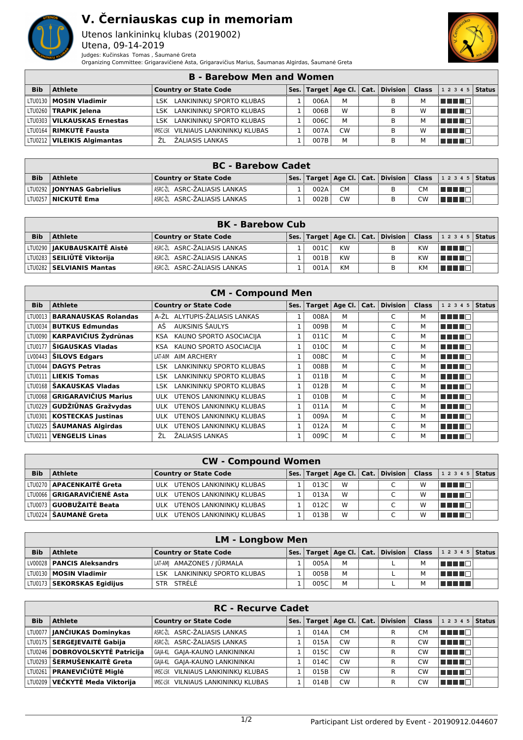

## **V. Černiauskas cup in memoriam**

Utenos lankininkų klubas (2019002) Utena, 09-14-2019 Judges: Kučinskas Tomas , Šaumanė Greta Organizing Committee: Grigaravičienė Asta, Grigaravičius Marius, Šaumanas Algirdas, Šaumanė Greta



## **B - Barebow Men and Women**

|            | <u>D - Darchow McH and Womch</u> |                                        |  |      |           |  |  |   |                                                                        |  |  |
|------------|----------------------------------|----------------------------------------|--|------|-----------|--|--|---|------------------------------------------------------------------------|--|--|
| <b>Bib</b> | <b>Athlete</b>                   | <b>Country or State Code</b>           |  |      |           |  |  |   | Ses.   Target   Age Cl.   Cat.   Division   Class   1 2 3 4 5   Status |  |  |
|            | LTU0130   MOSIN Vladimir         | LANKININKU SPORTO KLUBAS<br><b>LSK</b> |  | 006A | M         |  |  | М | n din se                                                               |  |  |
|            | LTU0260   TRAPIK Jelena          | LANKININKU SPORTO KLUBAS<br>LSK.       |  | 006B | W         |  |  | w | MA NA T                                                                |  |  |
|            | LTU0303   VILKAUSKAS Ernestas    | LANKININKU SPORTO KLUBAS<br>LSK.       |  | 006C | M         |  |  | М | T FIFTER                                                               |  |  |
|            | LTU0164   RIMKUTĖ Fausta         | VILNIAUS LANKININKU KLUBAS<br>VMSC-LSK |  | 007A | <b>CW</b> |  |  | W | TE E E                                                                 |  |  |
|            | LTU0212   VILEIKIS Algimantas    | ŽALIASIS LANKAS<br>71                  |  | 007B | M         |  |  | М | TE ELECT                                                               |  |  |

|            | <b>BC</b> - Barebow Cadet    |                              |  |      |           |  |  |           |                                                                        |  |  |
|------------|------------------------------|------------------------------|--|------|-----------|--|--|-----------|------------------------------------------------------------------------|--|--|
| <b>Bib</b> | <b>Athlete</b>               | <b>Country or State Code</b> |  |      |           |  |  |           | Ses.   Target   Age Cl.   Cat.   Division   Class   1 2 3 4 5   Status |  |  |
|            | LTU0292   JONYNAS Gabrielius | ASRC-ŽL ASRC-ŽALIASIS LANKAS |  | 002A | <b>CM</b> |  |  | <b>CM</b> | TELEM                                                                  |  |  |
|            | LTU0257   <b>NICKUTĖ Ema</b> | ASRC-ŽL ASRC-ŽALIASIS LANKAS |  | 002B | <b>CW</b> |  |  | <b>CW</b> | TELET                                                                  |  |  |

|            | <b>BK - Barebow Cub</b>              |                               |  |      |           |  |   |    |                                                                                                                          |  |  |
|------------|--------------------------------------|-------------------------------|--|------|-----------|--|---|----|--------------------------------------------------------------------------------------------------------------------------|--|--|
| <b>Bib</b> | <b>Athlete</b>                       | <b>Country or State Code</b>  |  |      |           |  |   |    | $ \mathsf{Ses.} \mathsf{Target} \mathsf{Age}\mathsf{Cl.} \mathsf{Cat.} \mathsf{Division} \mathsf{Class} $ 12345   Status |  |  |
|            | LTU0290   <b>JAKUBAUSKAITĖ Aistė</b> | ASRC-ŽL ASRC-ŽALIASIS LANKAS  |  | 001C | <b>KW</b> |  | B | KW | l manarat                                                                                                                |  |  |
|            | LTU0283 <b>SEILIŪTĖ Viktorija</b>    | IASRC-ŽL ASRC-ŽALIASIS LANKAS |  | 001B | <b>KW</b> |  | B | KW | l Titologia e a segundo de la propiedad de la propiedad de la propiedad de la propiedad de la propiedad de la            |  |  |
|            | LTU0282   SELVIANIS Mantas           | ASRC-ŽL ASRC-ŽALIASIS LANKAS  |  | 001A | <b>KM</b> |  | В | KM | n din bir                                                                                                                |  |  |

| <b>CM - Compound Men</b> |                             |                                  |      |      |                  |      |                 |              |                    |               |
|--------------------------|-----------------------------|----------------------------------|------|------|------------------|------|-----------------|--------------|--------------------|---------------|
| <b>Bib</b>               | <b>Athlete</b>              | <b>Country or State Code</b>     | Ses. |      | Target   Age Cl. | Cat. | <b>Division</b> | <b>Class</b> | 1 2 3 4 5          | <b>Status</b> |
| LTU0013                  | <b>BARANAUSKAS Rolandas</b> | A-ŽL ALYTUPIS-ŽALIASIS LANKAS    |      | 008A | М                |      | C               | м            | n din bir          |               |
| LTU0034                  | <b>BUTKUS Edmundas</b>      | AŠ<br>AUKSINIS ŠAULYS            |      | 009B | М                |      | C               | м            | a kata ing P       |               |
| LTU0090                  | <b>KARPAVIČIUS Žydrūnas</b> | KAUNO SPORTO ASOCIACIJA<br>KSA   |      | 011C | м                |      | C               | м            | <u>a matang sa</u> |               |
| LTU0177                  | ŠIGAUSKAS Vladas            | KAUNO SPORTO ASOCIACIJA<br>KSA   |      | 010C | М                |      | C               | м            | n na mar           |               |
| LV00443 l                | <b>ŠILOVS Edgars</b>        | <b>AIM ARCHERY</b><br>LAT-AIM    | 1    | 008C | М                |      | C               | м            | n na m             |               |
| LTU0044                  | <b>DAGYS Petras</b>         | LANKININKU SPORTO KLUBAS<br>LSK  |      | 008B | М                |      | C               | м            | n din bir          |               |
| LTU0111                  | <b>LIEKIS Tomas</b>         | LANKININKU SPORTO KLUBAS<br>LSK. |      | 011B | М                |      | C               | м            | 88 H H H H         |               |
| LTU0168                  | ŠAKAUSKAS Vladas            | LANKININKU SPORTO KLUBAS<br>LSK  |      | 012B | М                |      | C               | м            | n din Fin          |               |
| LTU0068                  | <b>GRIGARAVIČIUS Marius</b> | ULK UTENOS LANKININKU KLUBAS     | 1    | 010B | М                |      | C               | м            | MA MAT             |               |
| LTU0229                  | GUDŽIŪNAS Gražvydas         | UTENOS LANKININKU KLUBAS<br>ULK  | 1    | 011A | М                |      | C               | м            | n din Fin          |               |
| LTU0301                  | <b>KOSTECKAS Justinas</b>   | UTENOS LANKININKU KLUBAS<br>ULK  |      | 009A | М                |      | C.              | м            | n na m             |               |
| LTU0225                  | ŠAUMANAS Algirdas           | UTENOS LANKININKU KLUBAS<br>ULK. |      | 012A | М                |      | C               | м            | a kata ing P       |               |
| LTU0211                  | <b>VENGELIS Linas</b>       | ŽL<br>ŽALIASIS LANKAS            |      | 009C | М                |      | C               | м            | TE ELT             |               |

|            | <b>CW - Compound Women</b>         |                                 |  |      |   |  |                                                   |   |                |  |  |  |
|------------|------------------------------------|---------------------------------|--|------|---|--|---------------------------------------------------|---|----------------|--|--|--|
| <b>Bib</b> | <b>Athlete</b>                     | <b>Country or State Code</b>    |  |      |   |  | Ses.   Target   Age Cl.   Cat.   Division   Class |   | $12345$ Status |  |  |  |
|            | LTU0270   APACENKAITĖ Greta        | ULK UTENOS LANKININKU KLUBAS    |  | 013C | W |  | $\sqrt{2}$                                        | w | T T T T T      |  |  |  |
|            | LTU0066 <b>GRIGARAVIČIENĖ Asta</b> | ULK UTENOS LANKININKU KLUBAS    |  | 013A | W |  | $\sqrt{2}$                                        | w | THE LE         |  |  |  |
|            | LTV0073 <b>GUOBUŽAITĖ Beata</b>    | ULK UTENOS LANKININKU KLUBAS    |  | 012C | W |  | $\sqrt{2}$                                        | w | T FIFTER       |  |  |  |
|            | LTU0224 SAUMANĖ Greta              | UTENOS LANKININKU KLUBAS<br>ULK |  | 013B | W |  |                                                   | W | TI FIFT        |  |  |  |

|            | <b>LM - Longbow Men</b>     |                                 |  |      |   |  |                                                   |  |                  |  |  |
|------------|-----------------------------|---------------------------------|--|------|---|--|---------------------------------------------------|--|------------------|--|--|
| <b>Bib</b> | <b>Athlete</b>              | <b>Country or State Code</b>    |  |      |   |  | Ses.   Target   Age Cl.   Cat.   Division   Class |  | $ 12345 $ Status |  |  |
|            | LV00028   PANCIS Aleksandrs | LAT-AMI AMAZONES / JŪRMALA      |  | 005A | M |  |                                                   |  | n din Bir        |  |  |
|            | LTU0130   MOSIN Vladimir    | LANKININKU SPORTO KLUBAS<br>LSK |  | 005B | M |  |                                                   |  | n na m           |  |  |
|            | LTU0173 SEKORSKAS Egidijus  | STR STRELE                      |  | 005C | M |  |                                                   |  | T FIELD          |  |  |

|            | <b>RC - Recurve Cadet</b>            |                                            |      |      |           |  |                                    |              |                        |  |  |
|------------|--------------------------------------|--------------------------------------------|------|------|-----------|--|------------------------------------|--------------|------------------------|--|--|
| <b>Bib</b> | <b>Athlete</b>                       | <b>Country or State Code</b>               | Ses. |      |           |  | Target   Age Cl.   Cat.   Division | <b>Class</b> | $1\ 2\ 3\ 4\ 5$ Status |  |  |
|            | LTU0077 <b>JANČIUKAS Dominykas</b>   | ASRC-ŽL ASRC-ŽALIASIS LANKAS               |      | 014A | <b>CM</b> |  | R                                  | СM           | n a shekar             |  |  |
|            | LTV0175 <b>SERGEJEVAITĖ Gabija</b>   | ASRC-ŽL ASRC-ŽALIASIS LANKAS               |      | 015A | <b>CW</b> |  | R                                  | CW           | <b>TERMIN</b>          |  |  |
|            | LTU0246   DOBROVOLSKYTĖ Patricija    | GAIA-KL GAIA-KAUNO LANKININKAI             |      | 015C | <b>CW</b> |  | R                                  | CW           | TE E E E               |  |  |
|            | LTU0293 <b>  ŠERMUŠENKAITĖ Greta</b> | GAIA-KL GAIA-KAUNO LANKININKAI             |      | 014C | <b>CW</b> |  | R                                  | CW           | TE E E E               |  |  |
|            | LTU0261 <b>PRANEVIČIŪTĖ Miglė</b>    | <b>WISC-LSK VILNIAUS LANKININKU KLUBAS</b> |      | 015B | <b>CW</b> |  | R                                  | <b>CW</b>    | TE E E E               |  |  |
|            | LTU0209 VEČKYTĖ Meda Viktorija       | <b>WISC-LSK VILNIAUS LANKININKU KLUBAS</b> |      | 014B | <b>CW</b> |  | R                                  | CW           | TELET                  |  |  |